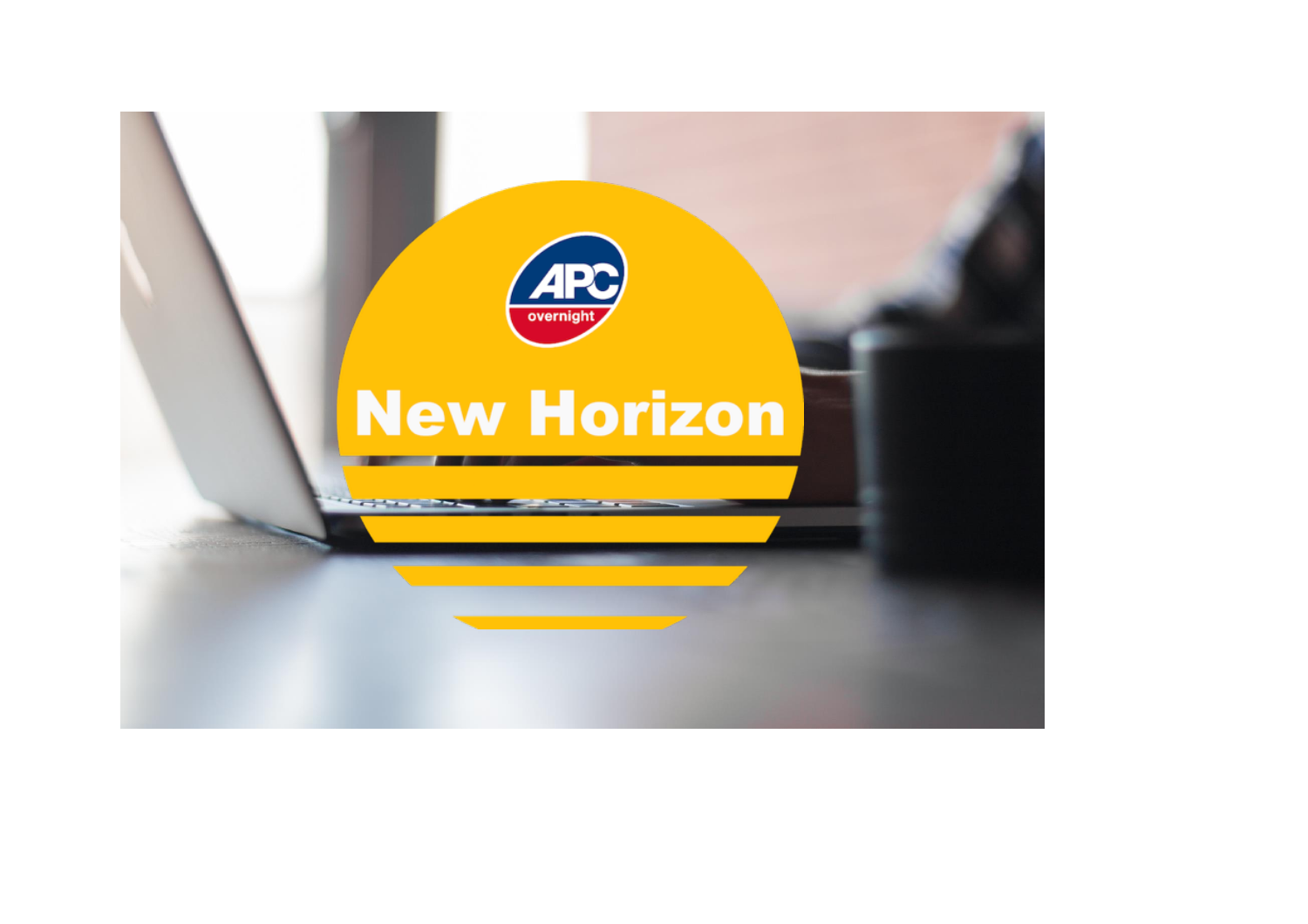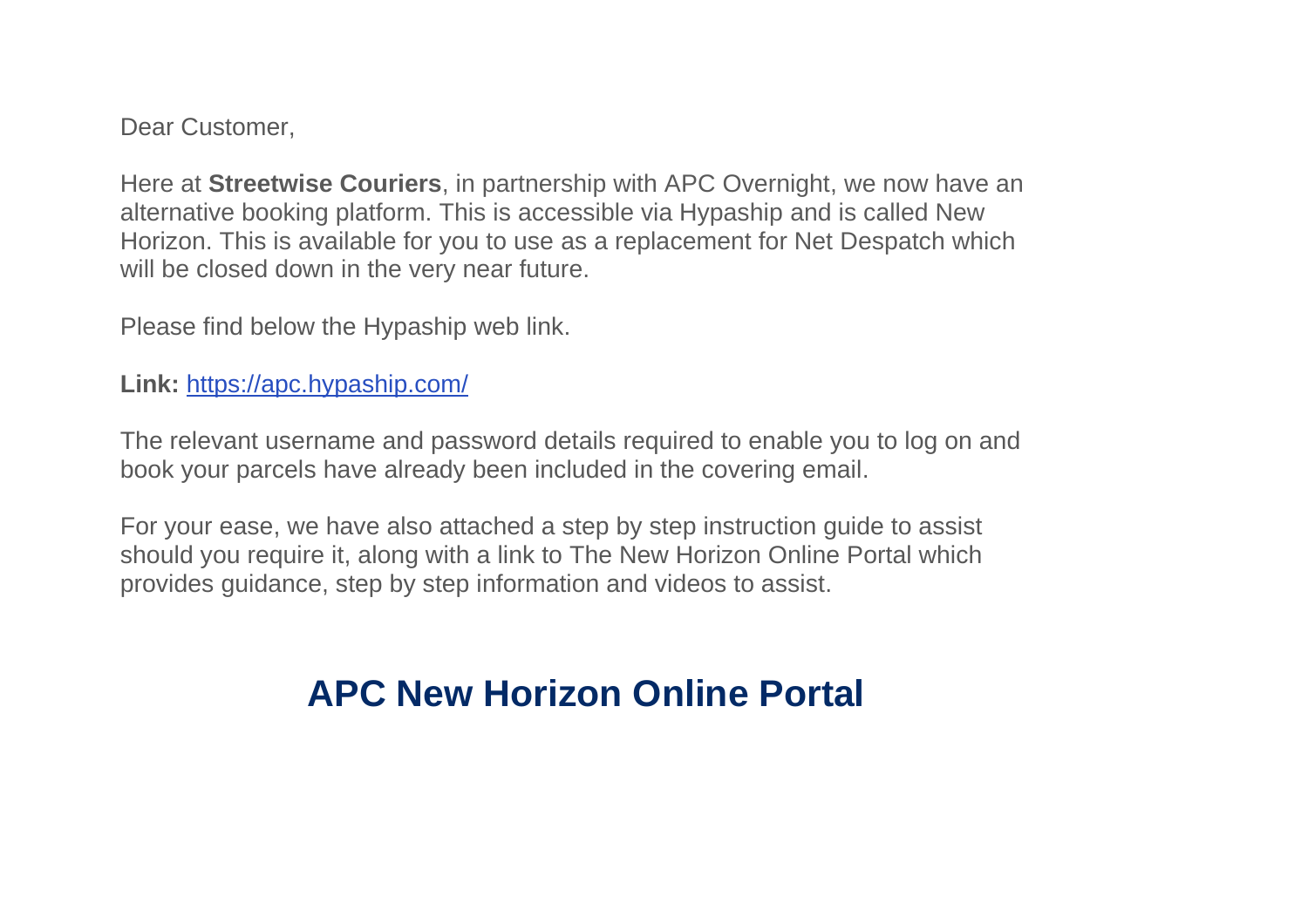Dear Customer,

Here at **Streetwise Couriers**, in partnership with APC Overnight, we now have an alternative booking platform. This is accessible via Hypaship and is called New Horizon. This is available for you to use as a replacement for Net Despatch which will be closed down in the very near future.

Please find below the Hypaship web link.

**Link:** <https://apc.hypaship.com/>

The relevant username and password details required to enable you to log on and book your parcels have already been included in the covering email.

For your ease, we have also attached a step by step instruction guide to assist should you require it, along with a link to The New Horizon Online Portal which provides guidance, step by step information and videos to assist.

## **[APC New Horizon Online Portal](https://indd.adobe.com/view/b8c42dde-4cbf-4d80-98de-2b2ee8e5739b)**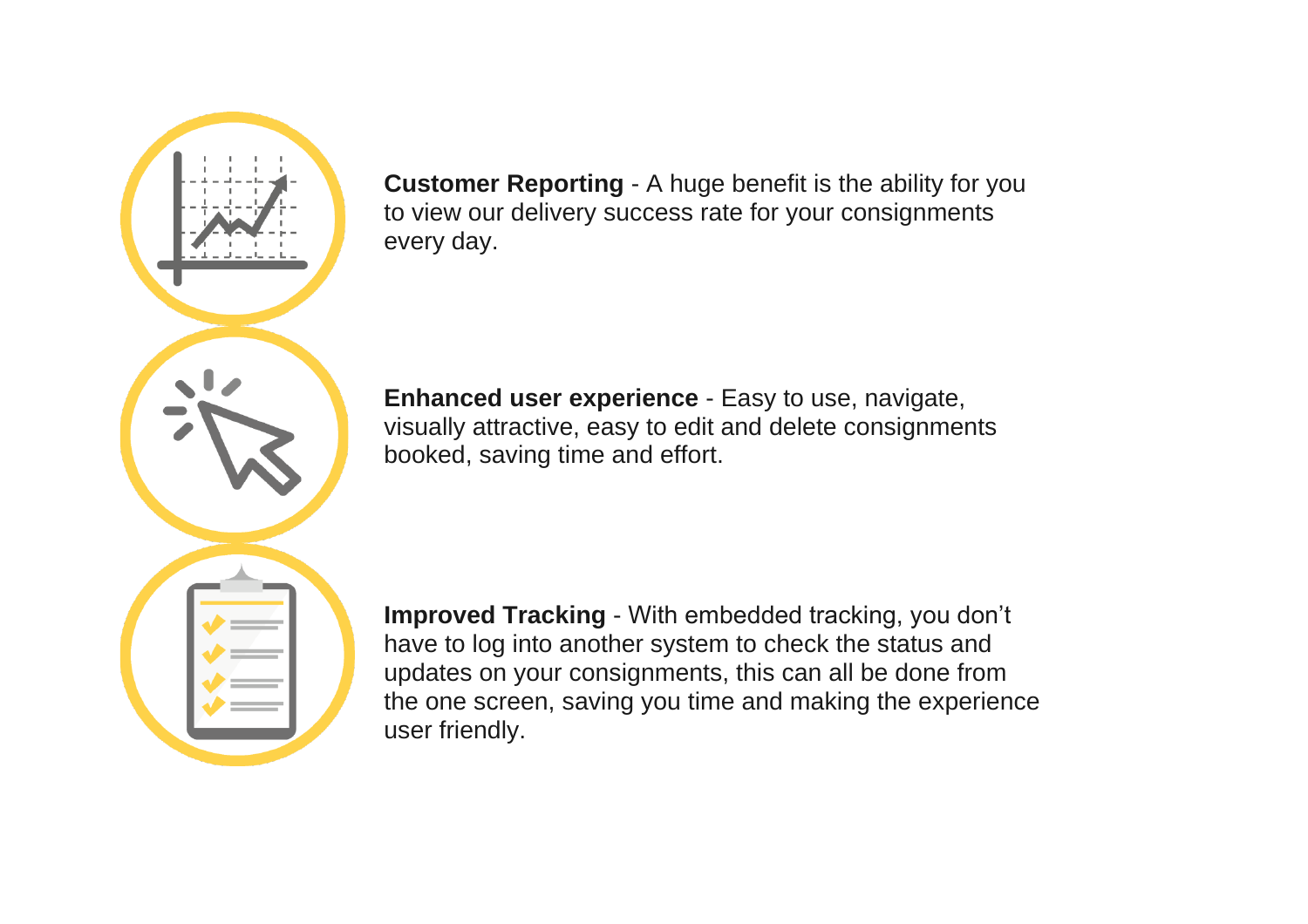

**Customer Reporting** - A huge benefit is the ability for you to view our delivery success rate for your consignments every day.

**Enhanced user experience** - Easy to use, navigate, visually attractive, easy to edit and delete consignments booked, saving time and effort.

**Improved Tracking** - With embedded tracking, you don't have to log into another system to check the status and updates on your consignments, this can all be done from the one screen, saving you time and making the experience user friendly.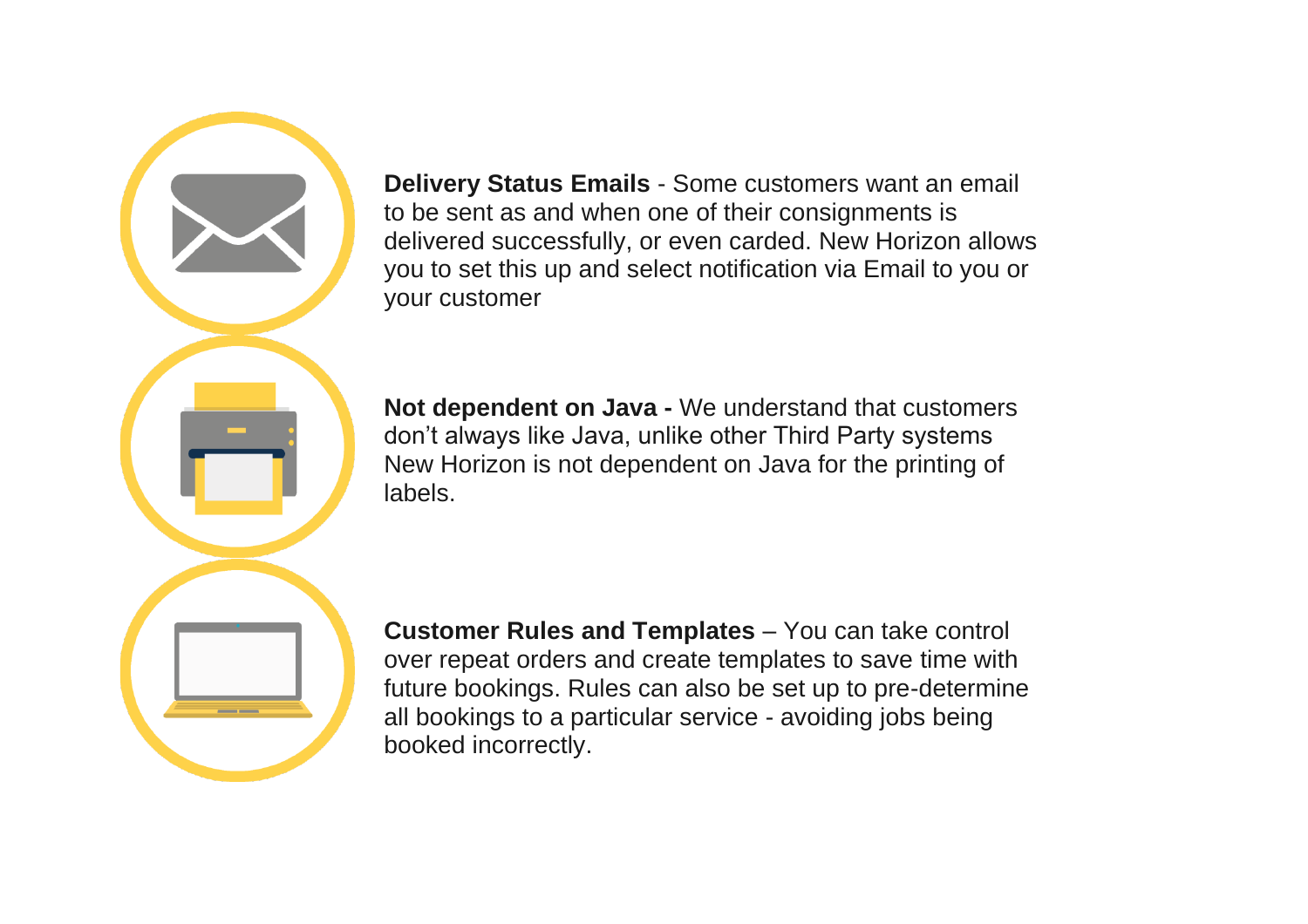**Delivery Status Emails** - Some customers want an email to be sent as and when one of their consignments is delivered successfully, or even carded. New Horizon allows you to set this up and select notification via Email to you or your customer

**Not dependent on Java -** We understand that customers don't always like Java, unlike other Third Party systems New Horizon is not dependent on Java for the printing of labels.

**Customer Rules and Templates** – You can take control over repeat orders and create templates to save time with future bookings. Rules can also be set up to pre-determine all bookings to a particular service - avoiding jobs being booked incorrectly.